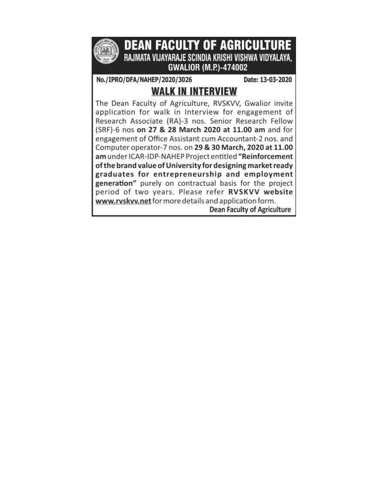

**DEAN FACULTY OF AGRICULTURE** RAJMATA VIJAYARAJE SCINDIA KRISHI VISHWA VIDYALAYA. **GWALIOR (M.P.)-474002** 

No./IPRO/DFA/NAHEP/2020/3026

Date: 13-03-2020

# **WALK IN INTERVIEW**

The Dean Faculty of Agriculture, RVSKVV, Gwalior invite application for walk in Interview for engagement of Research Associate (RA)-3 nos. Senior Research Fellow (SRF)-6 nos on 27 & 28 March 2020 at 11.00 am and for engagement of Office Assistant cum Accountant-2 nos. and Computer operator-7 nos. on 29 & 30 March, 2020 at 11.00 am under ICAR-IDP-NAHEP Project entitled "Reinforcement of the brand value of University for designing market ready graduates for entrepreneurship and employment generation" purely on contractual basis for the project period of two years. Please refer RVSKVV website www.rvskvv.net for more details and application form. **Dean Faculty of Agriculture**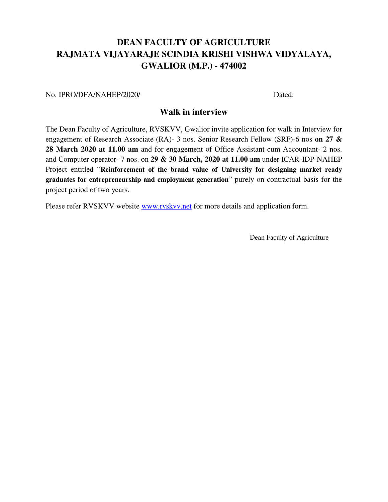## **DEAN FACULTY OF AGRICULTURE RAJMATA VIJAYARAJE SCINDIA KRISHI VISHWA VIDYALAYA, GWALIOR (M.P.) - 474002**

No. IPRO/DFA/NAHEP/2020/ Dated:

## **Walk in interview**

The Dean Faculty of Agriculture, RVSKVV, Gwalior invite application for walk in Interview for engagement of Research Associate (RA)- 3 nos. Senior Research Fellow (SRF)-6 nos **on 27 & 28 March 2020 at 11.00 am** and for engagement of Office Assistant cum Accountant- 2 nos. and Computer operator- 7 nos. on **29 & 30 March, 2020 at 11.00 am** under ICAR-IDP-NAHEP Project entitled "**Reinforcement of the brand value of University for designing market ready graduates for entrepreneurship and employment generation**" purely on contractual basis for the project period of two years.

Please refer RVSKVV website [www.rvskvv.net](http://www.rvskvv.net/) for more details and application form.

Dean Faculty of Agriculture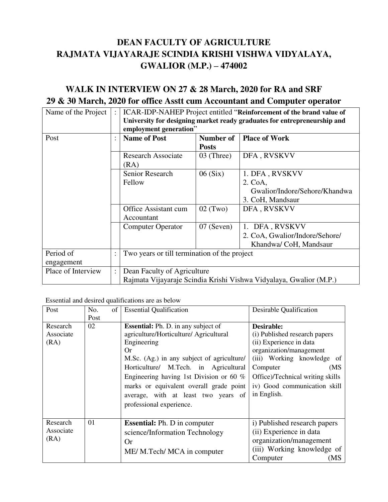# **DEAN FACULTY OF AGRICULTURE RAJMATA VIJAYARAJE SCINDIA KRISHI VISHWA VIDYALAYA, GWALIOR (M.P.) – 474002**

## **WALK IN INTERVIEW ON 27 & 28 March, 2020 for RA and SRF 29 & 30 March, 2020 for office Asstt cum Accountant and Computer operator**

| Name of the Project     | $\ddot{\phantom{a}}$ | ICAR-IDP-NAHEP Project entitled "Reinforcement of the brand value of<br>University for designing market ready graduates for entrepreneurship and<br>employment generation" |                           |                                                                                |  |  |
|-------------------------|----------------------|----------------------------------------------------------------------------------------------------------------------------------------------------------------------------|---------------------------|--------------------------------------------------------------------------------|--|--|
| Post                    | $\ddot{\cdot}$       | <b>Name of Post</b>                                                                                                                                                        | Number of<br><b>Posts</b> | <b>Place of Work</b>                                                           |  |  |
|                         |                      | <b>Research Associate</b><br>(RA)                                                                                                                                          | $03$ (Three)              | DFA, RVSKVV                                                                    |  |  |
|                         |                      | <b>Senior Research</b><br>Fellow                                                                                                                                           | 06(Six)                   | 1. DFA, RVSKVV<br>2. CoA,<br>Gwalior/Indore/Sehore/Khandwa<br>3. CoH, Mandsaur |  |  |
|                         |                      | <b>Office Assistant cum</b><br>Accountant                                                                                                                                  | $02$ (Two)<br>DFA, RVSKVV |                                                                                |  |  |
|                         |                      | <b>Computer Operator</b>                                                                                                                                                   | $07$ (Seven)              | DFA, RVSKVV<br>2. CoA, Gwalior/Indore/Sehore/<br>Khandwa/ CoH, Mandsaur        |  |  |
| Period of<br>engagement | $\ddot{\cdot}$       | Two years or till termination of the project                                                                                                                               |                           |                                                                                |  |  |
| Place of Interview      | $\ddot{\cdot}$       | Dean Faculty of Agriculture<br>Rajmata Vijayaraje Scindia Krishi Vishwa Vidyalaya, Gwalior (M.P.)                                                                          |                           |                                                                                |  |  |

Essential and desired qualifications are as below

| Post      | No.  | of | <b>Essential Qualification</b>             | Desirable Qualification          |  |  |
|-----------|------|----|--------------------------------------------|----------------------------------|--|--|
|           | Post |    |                                            |                                  |  |  |
| Research  | 02   |    | <b>Essential:</b> Ph. D. in any subject of | Desirable:                       |  |  |
| Associate |      |    | agriculture/Horticulture/ Agricultural     | (i) Published research papers    |  |  |
| (RA)      |      |    | Engineering                                | (ii) Experience in data          |  |  |
|           |      |    | Or                                         | organization/management          |  |  |
|           |      |    | M.Sc. (Ag.) in any subject of agriculture/ | (iii) Working knowledge of       |  |  |
|           |      |    | Horticulture/ M.Tech. in Agricultural      | (MS)<br>Computer                 |  |  |
|           |      |    | Engineering having 1st Division or 60 $%$  | Office)/Technical writing skills |  |  |
|           |      |    | marks or equivalent overall grade point    | iv) Good communication skill     |  |  |
|           |      |    | average, with at least two years of        | in English.                      |  |  |
|           |      |    | professional experience.                   |                                  |  |  |
|           |      |    |                                            |                                  |  |  |
| Research  | 01   |    | <b>Essential:</b> Ph. D in computer        | i) Published research papers     |  |  |
| Associate |      |    | science/Information Technology             | (ii) Experience in data          |  |  |
| (RA)      |      |    | <b>Or</b>                                  | organization/management          |  |  |
|           |      |    | ME/ M.Tech/ MCA in computer                | (iii) Working knowledge of       |  |  |
|           |      |    |                                            | Computer<br>(MS                  |  |  |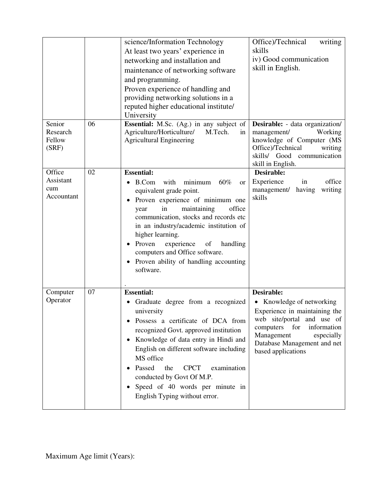|                                          |    | science/Information Technology<br>At least two years' experience in<br>networking and installation and<br>maintenance of networking software<br>and programming.<br>Proven experience of handling and<br>providing networking solutions in a<br>reputed higher educational institute/<br>University                                                                                                              | Office)/Technical<br>writing<br>skills<br>iv) Good communication<br>skill in English.                                                                                                                                   |
|------------------------------------------|----|------------------------------------------------------------------------------------------------------------------------------------------------------------------------------------------------------------------------------------------------------------------------------------------------------------------------------------------------------------------------------------------------------------------|-------------------------------------------------------------------------------------------------------------------------------------------------------------------------------------------------------------------------|
| Senior<br>Research<br>Fellow<br>(SRF)    | 06 | <b>Essential:</b> M.Sc. (Ag.) in any subject of<br>Agriculture/Horticulture/<br>M.Tech.<br>in<br><b>Agricultural Engineering</b>                                                                                                                                                                                                                                                                                 | Desirable: - data organization/<br>management/<br>Working<br>knowledge of Computer (MS<br>Office)/Technical<br>writing<br>skills/ Good communication<br>skill in English.                                               |
| Office<br>Assistant<br>cum<br>Accountant | 02 | <b>Essential:</b><br>B.Com<br>with<br>minimum<br>60%<br><b>or</b><br>equivalent grade point.<br>Proven experience of minimum one<br>maintaining<br>office<br>in<br>year<br>communication, stocks and records etc<br>in an industry/academic institution of<br>higher learning.<br>Proven<br>experience<br>of<br>handling<br>computers and Office software.<br>Proven ability of handling accounting<br>software. | Desirable:<br>office<br>Experience<br>in<br>management/<br>having<br>writing<br>skills                                                                                                                                  |
| Computer<br>Operator                     | 07 | <b>Essential:</b><br>Graduate degree from a recognized<br>university<br>Possess a certificate of DCA from<br>recognized Govt. approved institution<br>Knowledge of data entry in Hindi and<br>English on different software including<br>MS office<br>Passed<br>the<br><b>CPCT</b><br>examination<br>conducted by Govt Of M.P.<br>Speed of 40 words per minute in<br>English Typing without error.               | Desirable:<br>• Knowledge of networking<br>Experience in maintaining the<br>web site/portal and use of<br>computers for<br>information<br>Management<br>especially<br>Database Management and net<br>based applications |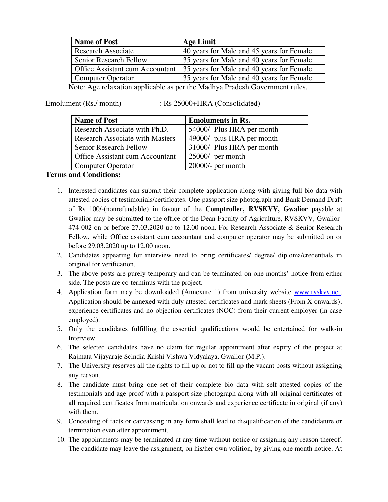| <b>Name of Post</b>                                                                                                                                                                      | <b>Age Limit</b>                          |  |  |  |  |
|------------------------------------------------------------------------------------------------------------------------------------------------------------------------------------------|-------------------------------------------|--|--|--|--|
| <b>Research Associate</b>                                                                                                                                                                | 40 years for Male and 45 years for Female |  |  |  |  |
| Senior Research Fellow                                                                                                                                                                   | 35 years for Male and 40 years for Female |  |  |  |  |
| Office Assistant cum Accountant                                                                                                                                                          | 35 years for Male and 40 years for Female |  |  |  |  |
| <b>Computer Operator</b>                                                                                                                                                                 | 35 years for Male and 40 years for Female |  |  |  |  |
| $\mathcal{A}_{\text{data}}$ , $\mathcal{A}_{\text{data}}$ is a subset of constant of the same of the $\mathcal{A}_{\text{data}}$ . Due deels $\mathcal{C}_{\text{extremumant}}$ in least |                                           |  |  |  |  |

Note: Age relaxation applicable as per the Madhya Pradesh Government rules.

Emolument (Rs./ month) : Rs 25000+HRA (Consolidated)

| <b>Name of Post</b>                    | <b>Emoluments in Rs.</b>   |
|----------------------------------------|----------------------------|
| Research Associate with Ph.D.          | 54000/- Plus HRA per month |
| <b>Research Associate with Masters</b> | 49000/- plus HRA per month |
| Senior Research Fellow                 | 31000/- Plus HRA per month |
| Office Assistant cum Accountant        | $25000/-$ per month        |
| <b>Computer Operator</b>               | $20000$ - per month        |

#### **Terms and Conditions:**

- 1. Interested candidates can submit their complete application along with giving full bio-data with attested copies of testimonials/certificates. One passport size photograph and Bank Demand Draft of Rs 100/-(nonrefundable) in favour of the **Comptroller, RVSKVV, Gwalior** payable at Gwalior may be submitted to the office of the Dean Faculty of Agriculture, RVSKVV, Gwalior-474 002 on or before 27.03.2020 up to 12.00 noon. For Research Associate & Senior Research Fellow, while Office assistant cum accountant and computer operator may be submitted on or before 29.03.2020 up to 12.00 noon.
- 2. Candidates appearing for interview need to bring certificates/ degree/ diploma/credentials in original for verification.
- 3. The above posts are purely temporary and can be terminated on one months' notice from either side. The posts are co-terminus with the project.
- 4. Application form may be downloaded (Annexure 1) from university website [www.rvskvv.net.](http://www.rvskvv.net/) Application should be annexed with duly attested certificates and mark sheets (From X onwards), experience certificates and no objection certificates (NOC) from their current employer (in case employed).
- 5. Only the candidates fulfilling the essential qualifications would be entertained for walk-in Interview.
- 6. The selected candidates have no claim for regular appointment after expiry of the project at Rajmata Vijayaraje Scindia Krishi Vishwa Vidyalaya, Gwalior (M.P.).
- 7. The University reserves all the rights to fill up or not to fill up the vacant posts without assigning any reason.
- 8. The candidate must bring one set of their complete bio data with self-attested copies of the testimonials and age proof with a passport size photograph along with all original certificates of all required certificates from matriculation onwards and experience certificate in original (if any) with them.
- 9. Concealing of facts or canvassing in any form shall lead to disqualification of the candidature or termination even after appointment.
- 10. The appointments may be terminated at any time without notice or assigning any reason thereof. The candidate may leave the assignment, on his/her own volition, by giving one month notice. At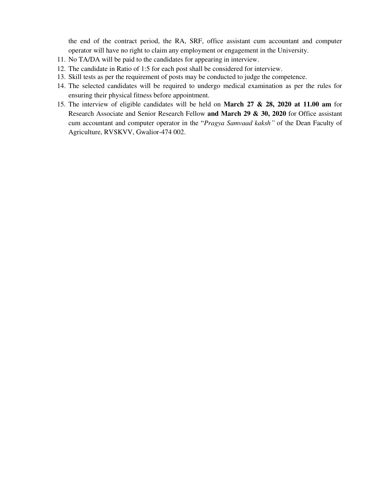the end of the contract period, the RA, SRF, office assistant cum accountant and computer operator will have no right to claim any employment or engagement in the University.

- 11. No TA/DA will be paid to the candidates for appearing in interview.
- 12. The candidate in Ratio of 1:5 for each post shall be considered for interview.
- 13. Skill tests as per the requirement of posts may be conducted to judge the competence.
- 14. The selected candidates will be required to undergo medical examination as per the rules for ensuring their physical fitness before appointment.
- 15. The interview of eligible candidates will be held on **March 27 & 28, 2020 at 11.00 am** for Research Associate and Senior Research Fellow **and March 29 & 30, 2020** for Office assistant cum accountant and computer operator in the "*Pragya Samvaad kaksh"* of the Dean Faculty of Agriculture, RVSKVV, Gwalior-474 002.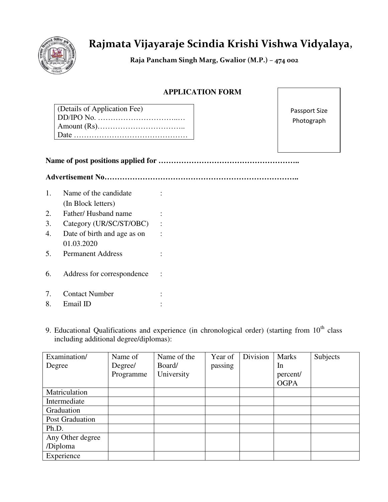

# **Rajmata Vijayaraje Scindia Krishi Vishwa Vidyalaya,**

 **Raja Pancham Singh Marg, Gwalior (M.P.) – 474 002** 

## **APPLICATION FORM**

| (Details of Application Fee)                                                                           |
|--------------------------------------------------------------------------------------------------------|
| $DD/IPO$ No. $\ldots$ $\ldots$ $\ldots$ $\ldots$ $\ldots$ $\ldots$ $\ldots$ $\ldots$ $\ldots$ $\ldots$ |
|                                                                                                        |
|                                                                                                        |
|                                                                                                        |

Passport Size Photograph

|--|--|--|

**Advertisement No…………………………………………………………………..**

| $1_{-}$ | Name of the candidate       |  |
|---------|-----------------------------|--|
|         | (In Block letters)          |  |
| 2.      | Father/ Husband name        |  |
| 3.      | Category (UR/SC/ST/OBC)     |  |
| 4.      | Date of birth and age as on |  |
|         | 01.03.2020                  |  |
| 5.      | <b>Permanent Address</b>    |  |
|         |                             |  |
| 6.      | Address for correspondence  |  |
|         |                             |  |
| 7.      | <b>Contact Number</b>       |  |
| 8.      | Email ID                    |  |

9. Educational Qualifications and experience (in chronological order) (starting from  $10<sup>th</sup>$  class including additional degree/diplomas):

| Examination/     | Name of   | Name of the | Year of | Division | <b>Marks</b> | Subjects |
|------------------|-----------|-------------|---------|----------|--------------|----------|
| Degree           | Degree/   | Board/      | passing |          | In           |          |
|                  | Programme | University  |         |          | percent/     |          |
|                  |           |             |         |          | <b>OGPA</b>  |          |
| Matriculation    |           |             |         |          |              |          |
| Intermediate     |           |             |         |          |              |          |
| Graduation       |           |             |         |          |              |          |
| Post Graduation  |           |             |         |          |              |          |
| Ph.D.            |           |             |         |          |              |          |
| Any Other degree |           |             |         |          |              |          |
| /Diploma         |           |             |         |          |              |          |
| Experience       |           |             |         |          |              |          |